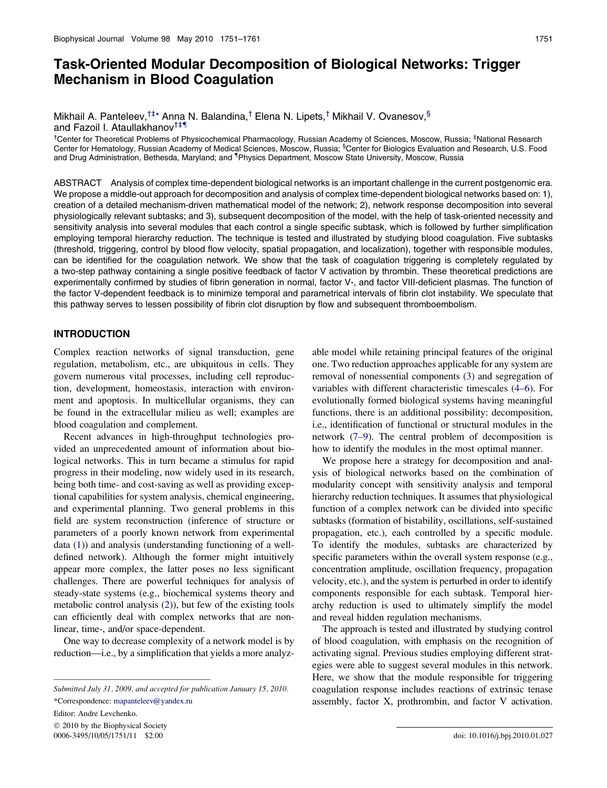# Task-Oriented Modular Decomposition of Biological Networks: Trigger Mechanism in Blood Coagulation

Mikhail A. Panteleev,†‡\* Anna N. Balandina,† Elena N. Lipets,† Mikhail V. Ovanesov,§

and Fazoil I. Ataullakhanov<sup>†‡¶</sup>

† Center for Theoretical Problems of Physicochemical Pharmacology, Russian Academy of Sciences, Moscow, Russia; ‡ National Research Center for Hematology, Russian Academy of Medical Sciences, Moscow, Russia; <sup>§</sup>Center for Biologics Evaluation and Research, U.S. Food and Drug Administration, Bethesda, Maryland; and <sup>¶</sup>Physics Department, Moscow State University, Moscow, Russia

ABSTRACT Analysis of complex time-dependent biological networks is an important challenge in the current postgenomic era. We propose a middle-out approach for decomposition and analysis of complex time-dependent biological networks based on: 1), creation of a detailed mechanism-driven mathematical model of the network; 2), network response decomposition into several physiologically relevant subtasks; and 3), subsequent decomposition of the model, with the help of task-oriented necessity and sensitivity analysis into several modules that each control a single specific subtask, which is followed by further simplification employing temporal hierarchy reduction. The technique is tested and illustrated by studying blood coagulation. Five subtasks (threshold, triggering, control by blood flow velocity, spatial propagation, and localization), together with responsible modules, can be identified for the coagulation network. We show that the task of coagulation triggering is completely regulated by a two-step pathway containing a single positive feedback of factor V activation by thrombin. These theoretical predictions are experimentally confirmed by studies of fibrin generation in normal, factor V-, and factor VIII-deficient plasmas. The function of the factor V-dependent feedback is to minimize temporal and parametrical intervals of fibrin clot instability. We speculate that this pathway serves to lessen possibility of fibrin clot disruption by flow and subsequent thromboembolism.

## INTRODUCTION

Complex reaction networks of signal transduction, gene regulation, metabolism, etc., are ubiquitous in cells. They govern numerous vital processes, including cell reproduction, development, homeostasis, interaction with environment and apoptosis. In multicellular organisms, they can be found in the extracellular milieu as well; examples are blood coagulation and complement.

Recent advances in high-throughput technologies provided an unprecedented amount of information about biological networks. This in turn became a stimulus for rapid progress in their modeling, now widely used in its research, being both time- and cost-saving as well as providing exceptional capabilities for system analysis, chemical engineering, and experimental planning. Two general problems in this field are system reconstruction (inference of structure or parameters of a poorly known network from experimental data [\(1](#page-9-0))) and analysis (understanding functioning of a welldefined network). Although the former might intuitively appear more complex, the latter poses no less significant challenges. There are powerful techniques for analysis of steady-state systems (e.g., biochemical systems theory and metabolic control analysis ([2\)](#page-9-0)), but few of the existing tools can efficiently deal with complex networks that are nonlinear, time-, and/or space-dependent.

One way to decrease complexity of a network model is by reduction—i.e., by a simplification that yields a more analyz-

Editor: Andre Levchenko.

 $© 2010$  by the Biophysical Society

able model while retaining principal features of the original one. Two reduction approaches applicable for any system are removal of nonessential components ([3\)](#page-9-0) and segregation of variables with different characteristic timescales ([4–6\)](#page-9-0). For evolutionally formed biological systems having meaningful functions, there is an additional possibility: decomposition, i.e., identification of functional or structural modules in the network [\(7–9](#page-9-0)). The central problem of decomposition is how to identify the modules in the most optimal manner.

We propose here a strategy for decomposition and analysis of biological networks based on the combination of modularity concept with sensitivity analysis and temporal hierarchy reduction techniques. It assumes that physiological function of a complex network can be divided into specific subtasks (formation of bistability, oscillations, self-sustained propagation, etc.), each controlled by a specific module. To identify the modules, subtasks are characterized by specific parameters within the overall system response (e.g., concentration amplitude, oscillation frequency, propagation velocity, etc.), and the system is perturbed in order to identify components responsible for each subtask. Temporal hierarchy reduction is used to ultimately simplify the model and reveal hidden regulation mechanisms.

The approach is tested and illustrated by studying control of blood coagulation, with emphasis on the recognition of activating signal. Previous studies employing different strategies were able to suggest several modules in this network. Here, we show that the module responsible for triggering coagulation response includes reactions of extrinsic tenase assembly, factor X, prothrombin, and factor V activation.

Submitted July 31, 2009, and accepted for publication January 15, 2010. \*Correspondence: [mapanteleev@yandex.ru](mailto:mapanteleev@yandex.ru)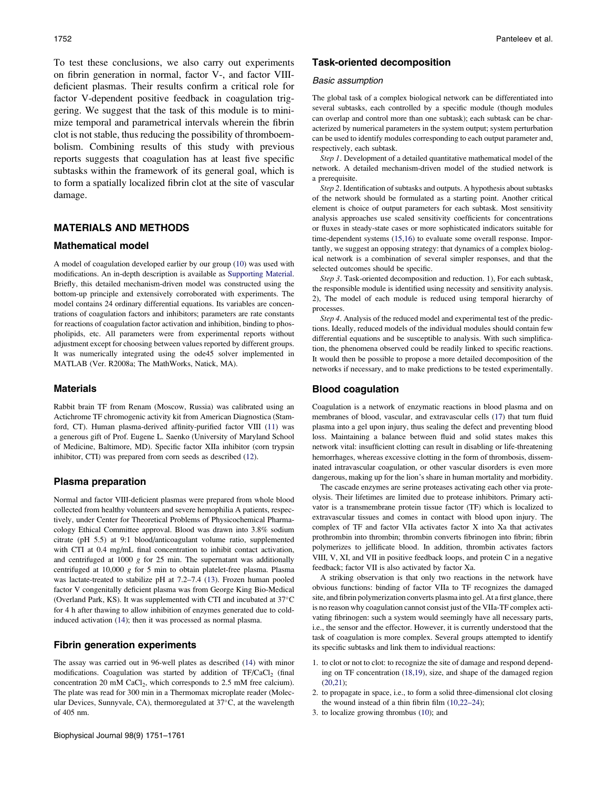<span id="page-1-0"></span>To test these conclusions, we also carry out experiments on fibrin generation in normal, factor V-, and factor VIIIdeficient plasmas. Their results confirm a critical role for factor V-dependent positive feedback in coagulation triggering. We suggest that the task of this module is to minimize temporal and parametrical intervals wherein the fibrin clot is not stable, thus reducing the possibility of thromboembolism. Combining results of this study with previous reports suggests that coagulation has at least five specific subtasks within the framework of its general goal, which is to form a spatially localized fibrin clot at the site of vascular damage.

## MATERIALS AND METHODS

#### Mathematical model

A model of coagulation developed earlier by our group [\(10](#page-9-0)) was used with modifications. An in-depth description is available as [Supporting Material.](#page-9-0) Briefly, this detailed mechanism-driven model was constructed using the bottom-up principle and extensively corroborated with experiments. The model contains 24 ordinary differential equations. Its variables are concentrations of coagulation factors and inhibitors; parameters are rate constants for reactions of coagulation factor activation and inhibition, binding to phospholipids, etc. All parameters were from experimental reports without adjustment except for choosing between values reported by different groups. It was numerically integrated using the ode45 solver implemented in MATLAB (Ver. R2008a; The MathWorks, Natick, MA).

## **Materials**

Rabbit brain TF from Renam (Moscow, Russia) was calibrated using an Actichrome TF chromogenic activity kit from American Diagnostica (Stamford, CT). Human plasma-derived affinity-purified factor VIII ([11\)](#page-9-0) was a generous gift of Prof. Eugene L. Saenko (University of Maryland School of Medicine, Baltimore, MD). Specific factor XIIa inhibitor (corn trypsin inhibitor, CTI) was prepared from corn seeds as described ([12](#page-9-0)).

#### Plasma preparation

Normal and factor VIII-deficient plasmas were prepared from whole blood collected from healthy volunteers and severe hemophilia A patients, respectively, under Center for Theoretical Problems of Physicochemical Pharmacology Ethical Committee approval. Blood was drawn into 3.8% sodium citrate (pH 5.5) at 9:1 blood/anticoagulant volume ratio, supplemented with CTI at 0.4 mg/mL final concentration to inhibit contact activation, and centrifuged at 1000  $g$  for 25 min. The supernatant was additionally centrifuged at 10,000 g for 5 min to obtain platelet-free plasma. Plasma was lactate-treated to stabilize pH at 7.2–7.4 ([13\)](#page-9-0). Frozen human pooled factor V congenitally deficient plasma was from George King Bio-Medical (Overland Park, KS). It was supplemented with CTI and incubated at 37°C for 4 h after thawing to allow inhibition of enzymes generated due to coldinduced activation ([14\)](#page-9-0); then it was processed as normal plasma.

## Fibrin generation experiments

The assay was carried out in 96-well plates as described [\(14](#page-9-0)) with minor modifications. Coagulation was started by addition of  $TF/CaCl<sub>2</sub>$  (final concentration 20 mM CaCl<sub>2</sub>, which corresponds to 2.5 mM free calcium). The plate was read for 300 min in a Thermomax microplate reader (Molecular Devices, Sunnyvale, CA), thermoregulated at 37°C, at the wavelength of 405 nm.

### Task-oriented decomposition

#### Basic assumption

The global task of a complex biological network can be differentiated into several subtasks, each controlled by a specific module (though modules can overlap and control more than one subtask); each subtask can be characterized by numerical parameters in the system output; system perturbation can be used to identify modules corresponding to each output parameter and, respectively, each subtask.

Step 1. Development of a detailed quantitative mathematical model of the network. A detailed mechanism-driven model of the studied network is a prerequisite.

Step 2. Identification of subtasks and outputs. A hypothesis about subtasks of the network should be formulated as a starting point. Another critical element is choice of output parameters for each subtask. Most sensitivity analysis approaches use scaled sensitivity coefficients for concentrations or fluxes in steady-state cases or more sophisticated indicators suitable for time-dependent systems ([15,16\)](#page-9-0) to evaluate some overall response. Importantly, we suggest an opposing strategy: that dynamics of a complex biological network is a combination of several simpler responses, and that the selected outcomes should be specific.

Step 3. Task-oriented decomposition and reduction. 1), For each subtask, the responsible module is identified using necessity and sensitivity analysis. 2), The model of each module is reduced using temporal hierarchy of processes.

Step 4. Analysis of the reduced model and experimental test of the predictions. Ideally, reduced models of the individual modules should contain few differential equations and be susceptible to analysis. With such simplification, the phenomena observed could be readily linked to specific reactions. It would then be possible to propose a more detailed decomposition of the networks if necessary, and to make predictions to be tested experimentally.

## Blood coagulation

Coagulation is a network of enzymatic reactions in blood plasma and on membranes of blood, vascular, and extravascular cells ([17\)](#page-9-0) that turn fluid plasma into a gel upon injury, thus sealing the defect and preventing blood loss. Maintaining a balance between fluid and solid states makes this network vital: insufficient clotting can result in disabling or life-threatening hemorrhages, whereas excessive clotting in the form of thrombosis, disseminated intravascular coagulation, or other vascular disorders is even more dangerous, making up for the lion's share in human mortality and morbidity.

The cascade enzymes are serine proteases activating each other via proteolysis. Their lifetimes are limited due to protease inhibitors. Primary activator is a transmembrane protein tissue factor (TF) which is localized to extravascular tissues and comes in contact with blood upon injury. The complex of TF and factor VIIa activates factor X into Xa that activates prothrombin into thrombin; thrombin converts fibrinogen into fibrin; fibrin polymerizes to jellificate blood. In addition, thrombin activates factors VIII, V, XI, and VII in positive feedback loops, and protein C in a negative feedback; factor VII is also activated by factor Xa.

A striking observation is that only two reactions in the network have obvious functions: binding of factor VIIa to TF recognizes the damaged site, and fibrin polymerization converts plasma into gel. At a first glance, there is no reason why coagulation cannot consist just of the VIIa-TF complex activating fibrinogen: such a system would seemingly have all necessary parts, i.e., the sensor and the effector. However, it is currently understood that the task of coagulation is more complex. Several groups attempted to identify its specific subtasks and link them to individual reactions:

- 1. to clot or not to clot: to recognize the site of damage and respond depending on TF concentration [\(18,19\)](#page-9-0), size, and shape of the damaged region [\(20,21](#page-9-0));
- 2. to propagate in space, i.e., to form a solid three-dimensional clot closing the wound instead of a thin fibrin film [\(10,22–24\)](#page-9-0);
- 3. to localize growing thrombus ([10\)](#page-9-0); and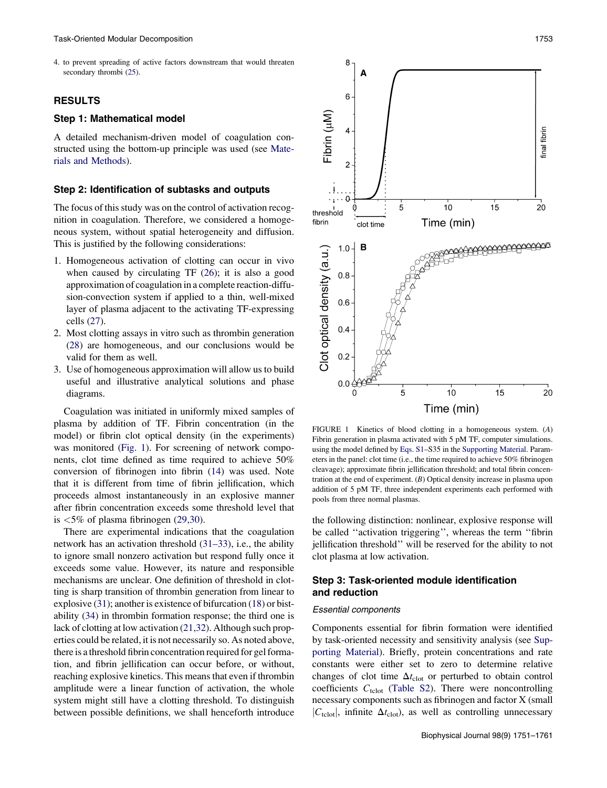4. to prevent spreading of active factors downstream that would threaten secondary thrombi [\(25](#page-9-0)).

## RESULTS

### Step 1: Mathematical model

A detailed mechanism-driven model of coagulation constructed using the bottom-up principle was used (see [Mate](#page-1-0)[rials and Methods](#page-1-0)).

### Step 2: Identification of subtasks and outputs

The focus of this study was on the control of activation recognition in coagulation. Therefore, we considered a homogeneous system, without spatial heterogeneity and diffusion. This is justified by the following considerations:

- 1. Homogeneous activation of clotting can occur in vivo when caused by circulating TF ([26\)](#page-9-0); it is also a good approximation of coagulation in a complete reaction-diffusion-convection system if applied to a thin, well-mixed layer of plasma adjacent to the activating TF-expressing cells ([27\)](#page-9-0).
- 2. Most clotting assays in vitro such as thrombin generation [\(28](#page-9-0)) are homogeneous, and our conclusions would be valid for them as well.
- 3. Use of homogeneous approximation will allow us to build useful and illustrative analytical solutions and phase diagrams.

Coagulation was initiated in uniformly mixed samples of plasma by addition of TF. Fibrin concentration (in the model) or fibrin clot optical density (in the experiments) was monitored (Fig. 1). For screening of network components, clot time defined as time required to achieve 50% conversion of fibrinogen into fibrin ([14\)](#page-9-0) was used. Note that it is different from time of fibrin jellification, which proceeds almost instantaneously in an explosive manner after fibrin concentration exceeds some threshold level that is  $\langle 5\%$  of plasma fibrinogen ([29,30](#page-9-0)).

There are experimental indications that the coagulation network has an activation threshold ([31–33](#page-9-0)), i.e., the ability to ignore small nonzero activation but respond fully once it exceeds some value. However, its nature and responsible mechanisms are unclear. One definition of threshold in clotting is sharp transition of thrombin generation from linear to explosive [\(31](#page-9-0)); another is existence of bifurcation [\(18](#page-9-0)) or bistability ([34\)](#page-9-0) in thrombin formation response; the third one is lack of clotting at low activation [\(21,32\)](#page-9-0). Although such properties could be related, it is not necessarily so. As noted above, there is a threshold fibrin concentration required for gel formation, and fibrin jellification can occur before, or without, reaching explosive kinetics. This means that even if thrombin amplitude were a linear function of activation, the whole system might still have a clotting threshold. To distinguish between possible definitions, we shall henceforth introduce





FIGURE 1 Kinetics of blood clotting in a homogeneous system. (A) Fibrin generation in plasma activated with 5 pM TF, computer simulations. using the model defined by [Eqs. S1–](#page-9-0)S35 in the [Supporting Material](#page-9-0). Parameters in the panel: clot time (i.e., the time required to achieve 50% fibrinogen cleavage); approximate fibrin jellification threshold; and total fibrin concentration at the end of experiment. (B) Optical density increase in plasma upon addition of 5 pM TF, three independent experiments each performed with pools from three normal plasmas.

the following distinction: nonlinear, explosive response will be called ''activation triggering'', whereas the term ''fibrin jellification threshold'' will be reserved for the ability to not clot plasma at low activation.

## Step 3: Task-oriented module identification and reduction

#### Essential components

8

Components essential for fibrin formation were identified by task-oriented necessity and sensitivity analysis (see [Sup](#page-9-0)[porting Material\)](#page-9-0). Briefly, protein concentrations and rate constants were either set to zero to determine relative changes of clot time  $\Delta t_{\text{clot}}$  or perturbed to obtain control coefficients  $C_{\text{tclot}}$  [\(Table S2\)](#page-9-0). There were noncontrolling necessary components such as fibrinogen and factor X (small  $|C_{\text{telot}}|$ , infinite  $\Delta t_{\text{clot}}$ , as well as controlling unnecessary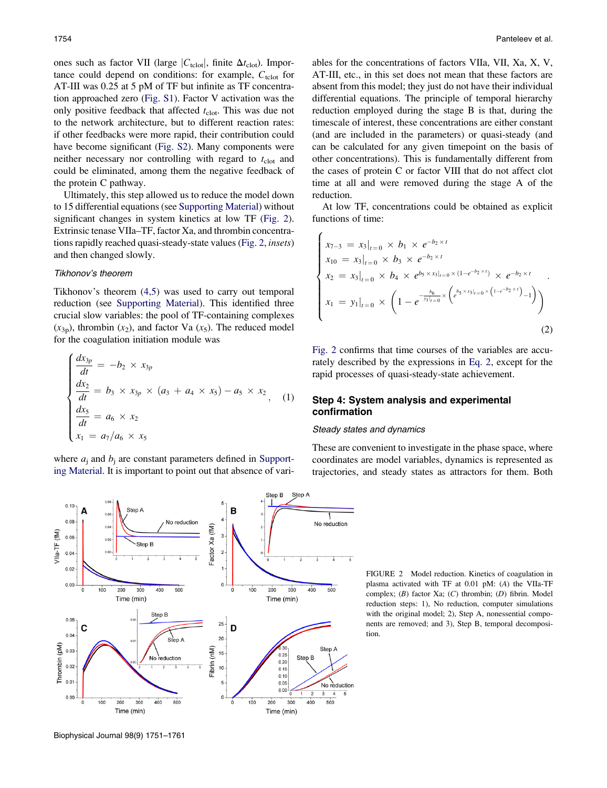ones such as factor VII (large  $|C_{\text{tolot}}|$ , finite  $\Delta t_{\text{clot}}$ ). Importance could depend on conditions: for example,  $C_{\text{telot}}$  for AT-III was 0.25 at 5 pM of TF but infinite as TF concentration approached zero ([Fig. S1\)](#page-9-0). Factor V activation was the only positive feedback that affected  $t_{\text{clot}}$ . This was due not to the network architecture, but to different reaction rates: if other feedbacks were more rapid, their contribution could have become significant [\(Fig. S2\)](#page-9-0). Many components were neither necessary nor controlling with regard to  $t_{\text{clot}}$  and could be eliminated, among them the negative feedback of the protein C pathway.

Ultimately, this step allowed us to reduce the model down to 15 differential equations (see [Supporting Material](#page-9-0)) without significant changes in system kinetics at low TF (Fig. 2). Extrinsic tenase VIIa–TF, factor Xa, and thrombin concentrations rapidly reached quasi-steady-state values (Fig. 2, insets) and then changed slowly.

#### Tikhonov's theorem

Tikhonov's theorem ([4,5](#page-9-0)) was used to carry out temporal reduction (see [Supporting Material](#page-9-0)). This identified three crucial slow variables: the pool of TF-containing complexes  $(x_{3p})$ , thrombin  $(x_2)$ , and factor Va  $(x_5)$ . The reduced model for the coagulation initiation module was

$$
\begin{cases}\n\frac{dx_{3p}}{dt} = -b_2 \times x_{3p} \\
\frac{dx_2}{dt} = b_3 \times x_{3p} \times (a_3 + a_4 \times x_5) - a_5 \times x_2 \\
\frac{dx_5}{dt} = a_6 \times x_2 \\
x_1 = a_7/a_6 \times x_5\n\end{cases}
$$
\n(1)

where  $a_i$  and  $b_i$  are constant parameters defined in [Support](#page-9-0)[ing Material.](#page-9-0) It is important to point out that absence of variables for the concentrations of factors VIIa, VII, Xa, X, V, AT-III, etc., in this set does not mean that these factors are absent from this model; they just do not have their individual differential equations. The principle of temporal hierarchy reduction employed during the stage B is that, during the timescale of interest, these concentrations are either constant (and are included in the parameters) or quasi-steady (and can be calculated for any given timepoint on the basis of other concentrations). This is fundamentally different from the cases of protein C or factor VIII that do not affect clot time at all and were removed during the stage A of the reduction.

At low TF, concentrations could be obtained as explicit functions of time:

$$
\begin{cases}\nx_{7-3} = x_3|_{t=0} \times b_1 \times e^{-b_2 \times t} \\
x_{10} = x_3|_{t=0} \times b_3 \times e^{-b_2 \times t} \\
x_2 = x_3|_{t=0} \times b_4 \times e^{b_5 \times x_3|_{t=0} \times (1 - e^{-b_2 \times t})} \times e^{-b_2 \times t} \\
x_1 = y_1|_{t=0} \times \left(1 - e^{-\frac{b_6}{y_1|_{t=0}} \times \left(e^{b_5 \times x_3|_{t=0} \times (1 - e^{-b_2 \times t})} - 1\right)}\right)\n\end{cases} \tag{2}
$$

Fig. 2 confirms that time courses of the variables are accurately described by the expressions in Eq. 2, except for the rapid processes of quasi-steady-state achievement.

## Step 4: System analysis and experimental confirmation

#### Steady states and dynamics

 $\overline{6}$ 

These are convenient to investigate in the phase space, where coordinates are model variables, dynamics is represented as trajectories, and steady states as attractors for them. Both



FIGURE 2 Model reduction. Kinetics of coagulation in plasma activated with TF at 0.01 pM: (A) the VIIa-TF complex; (B) factor Xa; (C) thrombin; (D) fibrin. Model reduction steps: 1), No reduction, computer simulations with the original model; 2), Step A, nonessential components are removed; and 3), Step B, temporal decomposition.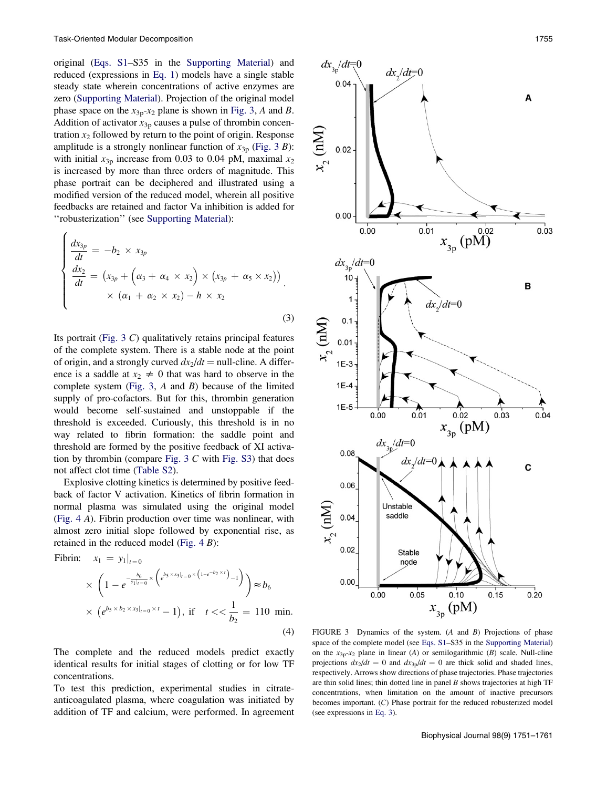7

<span id="page-4-0"></span>original [\(Eqs. S1](#page-9-0)–S35 in the [Supporting Material\)](#page-9-0) and reduced (expressions in Eq. 1) models have a single stable steady state wherein concentrations of active enzymes are zero [\(Supporting Material\)](#page-9-0). Projection of the original model phase space on the  $x_{3p}$ - $x_2$  plane is shown in Fig. 3, A and B. Addition of activator  $x_{3p}$  causes a pulse of thrombin concentration  $x_2$  followed by return to the point of origin. Response amplitude is a strongly nonlinear function of  $x_{3p}$  (Fig. 3 B): with initial  $x_{3p}$  increase from 0.03 to 0.04 pM, maximal  $x_2$ is increased by more than three orders of magnitude. This phase portrait can be deciphered and illustrated using a modified version of the reduced model, wherein all positive feedbacks are retained and factor Va inhibition is added for ''robusterization'' (see [Supporting Material\)](#page-9-0):

$$
\begin{cases}\n\frac{dx_{3p}}{dt} = -b_2 \times x_{3p} \\
\frac{dx_2}{dt} = (x_{3p} + (\alpha_3 + \alpha_4 \times x_2) \times (x_{3p} + \alpha_5 \times x_2)) \\
\times (\alpha_1 + \alpha_2 \times x_2) - h \times x_2\n\end{cases}
$$
\n(3)

Its portrait (Fig. 3 C) qualitatively retains principal features of the complete system. There is a stable node at the point of origin, and a strongly curved  $dx_2/dt = \text{null-cline}$ . A difference is a saddle at  $x_2 \neq 0$  that was hard to observe in the complete system (Fig. 3,  $A$  and  $B$ ) because of the limited supply of pro-cofactors. But for this, thrombin generation would become self-sustained and unstoppable if the threshold is exceeded. Curiously, this threshold is in no way related to fibrin formation: the saddle point and threshold are formed by the positive feedback of XI activation by thrombin (compare Fig.  $3 C$  with [Fig. S3](#page-9-0)) that does not affect clot time ([Table S2\)](#page-9-0).

Explosive clotting kinetics is determined by positive feedback of factor V activation. Kinetics of fibrin formation in normal plasma was simulated using the original model ([Fig. 4](#page-5-0) A). Fibrin production over time was nonlinear, with almost zero initial slope followed by exponential rise, as retained in the reduced model [\(Fig. 4](#page-5-0) B):

Fibrin: 
$$
x_1 = y_1|_{t=0}
$$
  
\n
$$
\times \left(1 - e^{-\frac{b_6}{y_1|_{t=0}} \times \left(e^{b_5 \times x_3|_{t=0} \times (1 - e^{-b_2 \times t})} - 1\right)}\right) \approx b_6
$$
\n
$$
\times \left(e^{b_5 \times b_2 \times x_3|_{t=0} \times t} - 1\right), \text{ if } t < < \frac{1}{b_2} = 110 \text{ min.}
$$
\n(4)

The complete and the reduced models predict exactly identical results for initial stages of clotting or for low TF concentrations.

To test this prediction, experimental studies in citrateanticoagulated plasma, where coagulation was initiated by addition of TF and calcium, were performed. In agreement



FIGURE 3 Dynamics of the system. (A and B) Projections of phase space of the complete model (see [Eqs. S1–](#page-9-0)S35 in the [Supporting Material](#page-9-0)) on the  $x_{3p}-x_2$  plane in linear (A) or semilogarithmic (B) scale. Null-cline projections  $dx_2/dt = 0$  and  $dx_{3p}/dt = 0$  are thick solid and shaded lines, respectively. Arrows show directions of phase trajectories. Phase trajectories are thin solid lines; thin dotted line in panel  $B$  shows trajectories at high TF concentrations, when limitation on the amount of inactive precursors becomes important. (C) Phase portrait for the reduced robusterized model (see expressions in Eq. 3).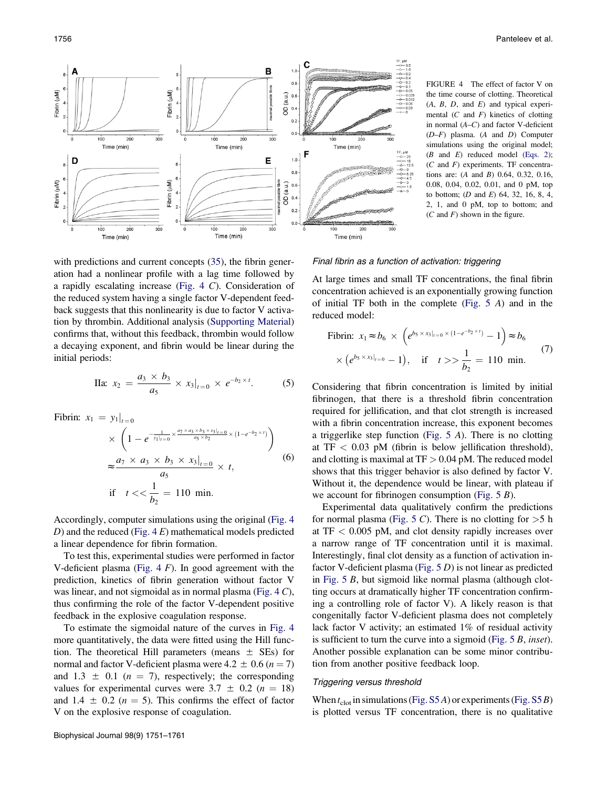<span id="page-5-0"></span>

with predictions and current concepts  $(35)$  $(35)$ , the fibrin generation had a nonlinear profile with a lag time followed by a rapidly escalating increase (Fig. 4 C). Consideration of the reduced system having a single factor V-dependent feedback suggests that this nonlinearity is due to factor V activation by thrombin. Additional analysis [\(Supporting Material](#page-9-0)) confirms that, without this feedback, thrombin would follow a decaying exponent, and fibrin would be linear during the initial periods:

$$
\text{IIa: } x_2 = \frac{a_3 \times b_3}{a_5} \times x_3|_{t=0} \times e^{-b_2 \times t}.\tag{5}
$$

Fibrin:  $x_1 = y_1|_{t=0}$ 

$$
\times \left(1 - e^{-\frac{1}{y_1|_{t=0}} \times \frac{a_7 \times a_3 \times b_3 \times x_3|_{t=0}}{a_5 \times b_2} \times (1 - e^{-b_2 \times t})}\right)
$$
  
\n
$$
\approx \frac{a_7 \times a_3 \times b_3 \times x_3|_{t=0}}{a_5} \times t,
$$
  
\nif  $t < \frac{1}{b_2} = 110$  min. (6)

Accordingly, computer simulations using the original (Fig. 4  $D$ ) and the reduced (Fig. 4  $E$ ) mathematical models predicted a linear dependence for fibrin formation.

To test this, experimental studies were performed in factor V-deficient plasma (Fig.  $4 F$ ). In good agreement with the prediction, kinetics of fibrin generation without factor V was linear, and not sigmoidal as in normal plasma (Fig. 4 C), thus confirming the role of the factor V-dependent positive feedback in the explosive coagulation response.

To estimate the sigmoidal nature of the curves in Fig. 4 more quantitatively, the data were fitted using the Hill function. The theoretical Hill parameters (means  $\pm$  SEs) for normal and factor V-deficient plasma were  $4.2 \pm 0.6$  ( $n = 7$ ) and 1.3  $\pm$  0.1 (*n* = 7), respectively; the corresponding values for experimental curves were  $3.7 \pm 0.2$  (n = 18) and 1.4  $\pm$  0.2 (*n* = 5). This confirms the effect of factor V on the explosive response of coagulation.

FIGURE 4 The effect of factor V on the time course of clotting. Theoretical  $(A, B, D, and E)$  and typical experimental  $(C \text{ and } F)$  kinetics of clotting in normal (A–C) and factor V-deficient  $(D-F)$  plasma. (A and D) Computer simulations using the original model;  $(B \text{ and } E)$  reduced model (Eqs. 2);  $(C \text{ and } F)$  experiments. TF concentrations are: (A and B) 0.64, 0.32, 0.16, 0.08, 0.04, 0.02, 0.01, and 0 pM, top to bottom;  $(D \text{ and } E)$  64, 32, 16, 8, 4, 2, 1, and 0 pM, top to bottom; and  $(C \text{ and } F)$  shown in the figure.

Final fibrin as a function of activation: triggering

At large times and small TF concentrations, the final fibrin concentration achieved is an exponentially growing function of initial TF both in the complete [\(Fig. 5](#page-6-0) A) and in the reduced model:

Fibrin: 
$$
x_1 \approx b_6 \times (e^{b_5 \times x_3|_{t=0} \times (1 - e^{-b_2 \times t})} - 1) \approx b_6
$$
  
  $\times (e^{b_5 \times x_3|_{t=0}} - 1), \text{ if } t >> \frac{1}{b_2} = 110 \text{ min.}$  (7)

Considering that fibrin concentration is limited by initial fibrinogen, that there is a threshold fibrin concentration required for jellification, and that clot strength is increased with a fibrin concentration increase, this exponent becomes a triggerlike step function ([Fig. 5](#page-6-0) A). There is no clotting at  $TF < 0.03$  pM (fibrin is below jellification threshold), and clotting is maximal at  $TF > 0.04$  pM. The reduced model shows that this trigger behavior is also defined by factor V. Without it, the dependence would be linear, with plateau if we account for fibrinogen consumption (Fig.  $5 B$ ).

Experimental data qualitatively confirm the predictions for normal plasma [\(Fig. 5](#page-6-0) C). There is no clotting for  $>5$  h at TF < 0.005 pM, and clot density rapidly increases over a narrow range of TF concentration until it is maximal. Interestingly, final clot density as a function of activation infactor V-deficient plasma (Fig.  $5 D$ ) is not linear as predicted in [Fig. 5](#page-6-0) B, but sigmoid like normal plasma (although clotting occurs at dramatically higher TF concentration confirming a controlling role of factor V). A likely reason is that congenitally factor V-deficient plasma does not completely lack factor V activity; an estimated 1% of residual activity is sufficient to turn the curve into a sigmoid ([Fig. 5](#page-6-0) B, inset). Another possible explanation can be some minor contribution from another positive feedback loop.

### Triggering versus threshold

When  $t_{\text{clot}}$  in simulations ([Fig. S5](#page-9-0) A) or experiments [\(Fig. S5](#page-9-0) B) is plotted versus TF concentration, there is no qualitative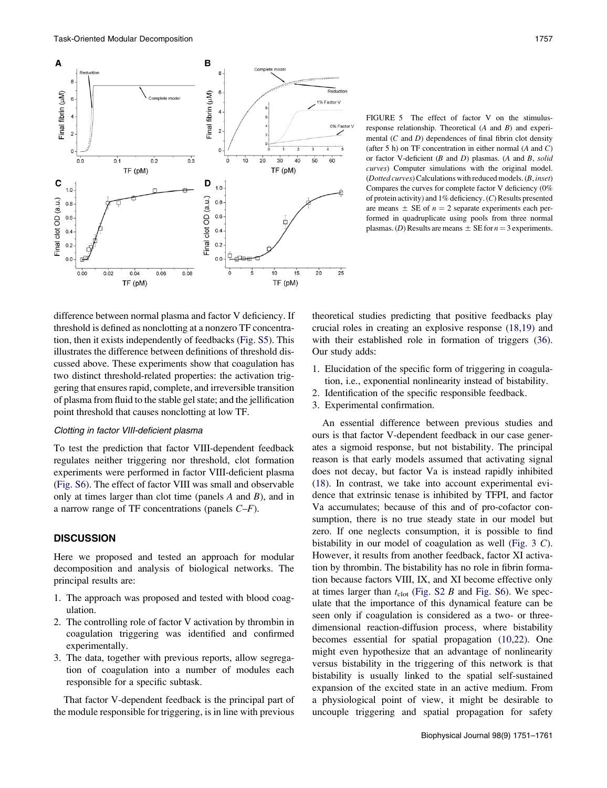<span id="page-6-0"></span>

FIGURE 5 The effect of factor V on the stimulusresponse relationship. Theoretical (A and B) and experimental  $(C \text{ and } D)$  dependences of final fibrin clot density (after 5 h) on TF concentration in either normal  $(A \text{ and } C)$ or factor V-deficient  $(B \text{ and } D)$  plasmas.  $(A \text{ and } B, \text{ solid})$ curves) Computer simulations with the original model. (Dotted curves) Calculations with reduced models. (B, inset) Compares the curves for complete factor V deficiency (0% of protein activity) and 1% deficiency. (C) Results presented are means  $\pm$  SE of  $n = 2$  separate experiments each performed in quadruplicate using pools from three normal plasmas. (D) Results are means  $\pm$  SE for  $n = 3$  experiments.

difference between normal plasma and factor V deficiency. If threshold is defined as nonclotting at a nonzero TF concentration, then it exists independently of feedbacks ([Fig. S5](#page-9-0)). This illustrates the difference between definitions of threshold discussed above. These experiments show that coagulation has two distinct threshold-related properties: the activation triggering that ensures rapid, complete, and irreversible transition of plasma from fluid to the stable gel state; and the jellification point threshold that causes nonclotting at low TF.

#### Clotting in factor VIII-deficient plasma

To test the prediction that factor VIII-dependent feedback regulates neither triggering nor threshold, clot formation experiments were performed in factor VIII-deficient plasma ([Fig. S6](#page-9-0)). The effect of factor VIII was small and observable only at times larger than clot time (panels  $A$  and  $B$ ), and in a narrow range of TF concentrations (panels C–F).

#### **DISCUSSION**

Here we proposed and tested an approach for modular decomposition and analysis of biological networks. The principal results are:

- 1. The approach was proposed and tested with blood coagulation.
- 2. The controlling role of factor V activation by thrombin in coagulation triggering was identified and confirmed experimentally.
- 3. The data, together with previous reports, allow segregation of coagulation into a number of modules each responsible for a specific subtask.

That factor V-dependent feedback is the principal part of the module responsible for triggering, is in line with previous theoretical studies predicting that positive feedbacks play crucial roles in creating an explosive response ([18,19](#page-9-0)) and with their established role in formation of triggers ([36\)](#page-10-0). Our study adds:

- 1. Elucidation of the specific form of triggering in coagulation, i.e., exponential nonlinearity instead of bistability.
- 2. Identification of the specific responsible feedback.
- 3. Experimental confirmation.

An essential difference between previous studies and ours is that factor V-dependent feedback in our case generates a sigmoid response, but not bistability. The principal reason is that early models assumed that activating signal does not decay, but factor Va is instead rapidly inhibited ([18\)](#page-9-0). In contrast, we take into account experimental evidence that extrinsic tenase is inhibited by TFPI, and factor Va accumulates; because of this and of pro-cofactor consumption, there is no true steady state in our model but zero. If one neglects consumption, it is possible to find bistability in our model of coagulation as well ([Fig. 3](#page-4-0) C). However, it results from another feedback, factor XI activation by thrombin. The bistability has no role in fibrin formation because factors VIII, IX, and XI become effective only at times larger than  $t_{\text{clot}}$  ([Fig. S2](#page-9-0) B and [Fig. S6\)](#page-9-0). We speculate that the importance of this dynamical feature can be seen only if coagulation is considered as a two- or threedimensional reaction-diffusion process, where bistability becomes essential for spatial propagation ([10,22\)](#page-9-0). One might even hypothesize that an advantage of nonlinearity versus bistability in the triggering of this network is that bistability is usually linked to the spatial self-sustained expansion of the excited state in an active medium. From a physiological point of view, it might be desirable to uncouple triggering and spatial propagation for safety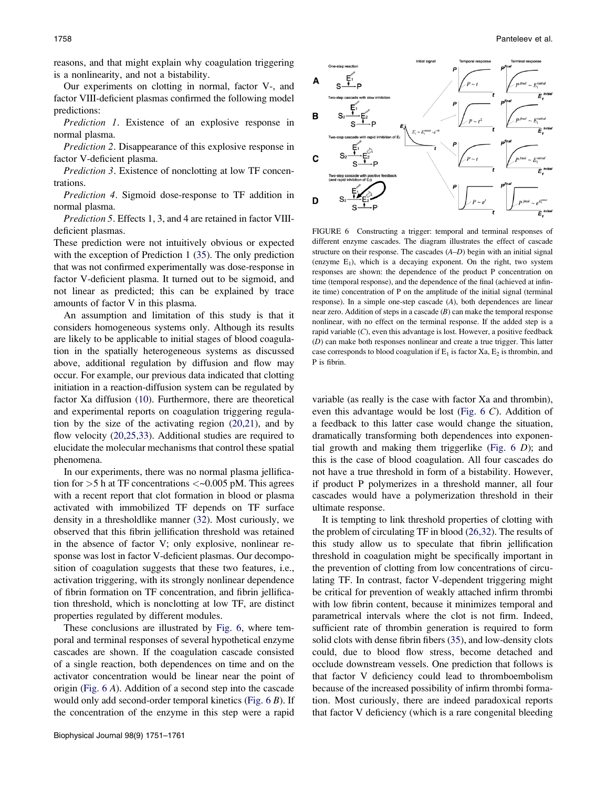Our experiments on clotting in normal, factor V-, and factor VIII-deficient plasmas confirmed the following model predictions:

Prediction 1. Existence of an explosive response in normal plasma.

Prediction 2. Disappearance of this explosive response in factor V-deficient plasma.

Prediction 3. Existence of nonclotting at low TF concentrations.

Prediction 4. Sigmoid dose-response to TF addition in normal plasma.

Prediction 5. Effects 1, 3, and 4 are retained in factor VIIIdeficient plasmas.

These prediction were not intuitively obvious or expected with the exception of Prediction 1 [\(35](#page-9-0)). The only prediction that was not confirmed experimentally was dose-response in factor V-deficient plasma. It turned out to be sigmoid, and not linear as predicted; this can be explained by trace amounts of factor V in this plasma.

An assumption and limitation of this study is that it considers homogeneous systems only. Although its results are likely to be applicable to initial stages of blood coagulation in the spatially heterogeneous systems as discussed above, additional regulation by diffusion and flow may occur. For example, our previous data indicated that clotting initiation in a reaction-diffusion system can be regulated by factor Xa diffusion ([10\)](#page-9-0). Furthermore, there are theoretical and experimental reports on coagulation triggering regulation by the size of the activating region ([20,21](#page-9-0)), and by flow velocity ([20,25,33\)](#page-9-0). Additional studies are required to elucidate the molecular mechanisms that control these spatial phenomena.

In our experiments, there was no normal plasma jellification for  $>5$  h at TF concentrations  $<$  -0.005 pM. This agrees with a recent report that clot formation in blood or plasma activated with immobilized TF depends on TF surface density in a thresholdlike manner [\(32](#page-9-0)). Most curiously, we observed that this fibrin jellification threshold was retained in the absence of factor V; only explosive, nonlinear response was lost in factor V-deficient plasmas. Our decomposition of coagulation suggests that these two features, i.e., activation triggering, with its strongly nonlinear dependence of fibrin formation on TF concentration, and fibrin jellification threshold, which is nonclotting at low TF, are distinct properties regulated by different modules.

These conclusions are illustrated by Fig. 6, where temporal and terminal responses of several hypothetical enzyme cascades are shown. If the coagulation cascade consisted of a single reaction, both dependences on time and on the activator concentration would be linear near the point of origin (Fig. 6 A). Addition of a second step into the cascade would only add second-order temporal kinetics (Fig. 6 B). If the concentration of the enzyme in this step were a rapid



FIGURE 6 Constructing a trigger: temporal and terminal responses of different enzyme cascades. The diagram illustrates the effect of cascade structure on their response. The cascades (A–D) begin with an initial signal (enzyme  $E_1$ ), which is a decaying exponent. On the right, two system responses are shown: the dependence of the product P concentration on time (temporal response), and the dependence of the final (achieved at infinite time) concentration of P on the amplitude of the initial signal (terminal response). In a simple one-step cascade (A), both dependences are linear near zero. Addition of steps in a cascade (B) can make the temporal response nonlinear, with no effect on the terminal response. If the added step is a rapid variable (C), even this advantage is lost. However, a positive feedback (D) can make both responses nonlinear and create a true trigger. This latter case corresponds to blood coagulation if  $E_1$  is factor Xa,  $E_2$  is thrombin, and P is fibrin.

variable (as really is the case with factor Xa and thrombin), even this advantage would be lost (Fig. 6 C). Addition of a feedback to this latter case would change the situation, dramatically transforming both dependences into exponential growth and making them triggerlike (Fig.  $6 D$ ); and this is the case of blood coagulation. All four cascades do not have a true threshold in form of a bistability. However, if product P polymerizes in a threshold manner, all four cascades would have a polymerization threshold in their ultimate response.

It is tempting to link threshold properties of clotting with the problem of circulating TF in blood ([26,32](#page-9-0)). The results of this study allow us to speculate that fibrin jellification threshold in coagulation might be specifically important in the prevention of clotting from low concentrations of circulating TF. In contrast, factor V-dependent triggering might be critical for prevention of weakly attached infirm thrombi with low fibrin content, because it minimizes temporal and parametrical intervals where the clot is not firm. Indeed, sufficient rate of thrombin generation is required to form solid clots with dense fibrin fibers ([35\)](#page-9-0), and low-density clots could, due to blood flow stress, become detached and occlude downstream vessels. One prediction that follows is that factor V deficiency could lead to thromboembolism because of the increased possibility of infirm thrombi formation. Most curiously, there are indeed paradoxical reports that factor V deficiency (which is a rare congenital bleeding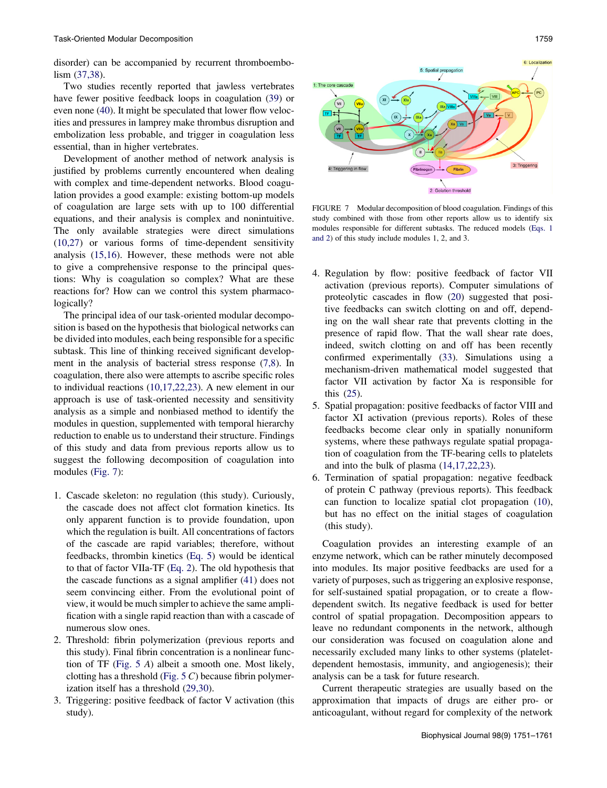disorder) can be accompanied by recurrent thromboembolism ([37,38](#page-10-0)).

Two studies recently reported that jawless vertebrates have fewer positive feedback loops in coagulation [\(39](#page-10-0)) or even none [\(40](#page-10-0)). It might be speculated that lower flow velocities and pressures in lamprey make thrombus disruption and embolization less probable, and trigger in coagulation less essential, than in higher vertebrates.

Development of another method of network analysis is justified by problems currently encountered when dealing with complex and time-dependent networks. Blood coagulation provides a good example: existing bottom-up models of coagulation are large sets with up to 100 differential equations, and their analysis is complex and nonintuitive. The only available strategies were direct simulations ([10,27](#page-9-0)) or various forms of time-dependent sensitivity analysis [\(15,16\)](#page-9-0). However, these methods were not able to give a comprehensive response to the principal questions: Why is coagulation so complex? What are these reactions for? How can we control this system pharmacologically?

The principal idea of our task-oriented modular decomposition is based on the hypothesis that biological networks can be divided into modules, each being responsible for a specific subtask. This line of thinking received significant development in the analysis of bacterial stress response ([7,8](#page-9-0)). In coagulation, there also were attempts to ascribe specific roles to individual reactions ([10,17,22,23](#page-9-0)). A new element in our approach is use of task-oriented necessity and sensitivity analysis as a simple and nonbiased method to identify the modules in question, supplemented with temporal hierarchy reduction to enable us to understand their structure. Findings of this study and data from previous reports allow us to suggest the following decomposition of coagulation into modules (Fig. 7):

- 1. Cascade skeleton: no regulation (this study). Curiously, the cascade does not affect clot formation kinetics. Its only apparent function is to provide foundation, upon which the regulation is built. All concentrations of factors of the cascade are rapid variables; therefore, without feedbacks, thrombin kinetics (Eq. 5) would be identical to that of factor VIIa-TF (Eq. 2). The old hypothesis that the cascade functions as a signal amplifier [\(41](#page-10-0)) does not seem convincing either. From the evolutional point of view, it would be much simpler to achieve the same amplification with a single rapid reaction than with a cascade of numerous slow ones.
- 2. Threshold: fibrin polymerization (previous reports and this study). Final fibrin concentration is a nonlinear function of TF [\(Fig. 5](#page-6-0) A) albeit a smooth one. Most likely, clotting has a threshold (Fig.  $5 C$ ) because fibrin polymerization itself has a threshold ([29,30](#page-9-0)).
- 3. Triggering: positive feedback of factor V activation (this study).



FIGURE 7 Modular decomposition of blood coagulation. Findings of this study combined with those from other reports allow us to identify six modules responsible for different subtasks. The reduced models (Eqs. 1 and 2) of this study include modules 1, 2, and 3.

- 4. Regulation by flow: positive feedback of factor VII activation (previous reports). Computer simulations of proteolytic cascades in flow [\(20](#page-9-0)) suggested that positive feedbacks can switch clotting on and off, depending on the wall shear rate that prevents clotting in the presence of rapid flow. That the wall shear rate does, indeed, switch clotting on and off has been recently confirmed experimentally ([33\)](#page-9-0). Simulations using a mechanism-driven mathematical model suggested that factor VII activation by factor Xa is responsible for this ([25\)](#page-9-0).
- 5. Spatial propagation: positive feedbacks of factor VIII and factor XI activation (previous reports). Roles of these feedbacks become clear only in spatially nonuniform systems, where these pathways regulate spatial propagation of coagulation from the TF-bearing cells to platelets and into the bulk of plasma ([14,17,22,23](#page-9-0)).
- 6. Termination of spatial propagation: negative feedback of protein C pathway (previous reports). This feedback can function to localize spatial clot propagation ([10\)](#page-9-0), but has no effect on the initial stages of coagulation (this study).

Coagulation provides an interesting example of an enzyme network, which can be rather minutely decomposed into modules. Its major positive feedbacks are used for a variety of purposes, such as triggering an explosive response, for self-sustained spatial propagation, or to create a flowdependent switch. Its negative feedback is used for better control of spatial propagation. Decomposition appears to leave no redundant components in the network, although our consideration was focused on coagulation alone and necessarily excluded many links to other systems (plateletdependent hemostasis, immunity, and angiogenesis); their analysis can be a task for future research.

Current therapeutic strategies are usually based on the approximation that impacts of drugs are either pro- or anticoagulant, without regard for complexity of the network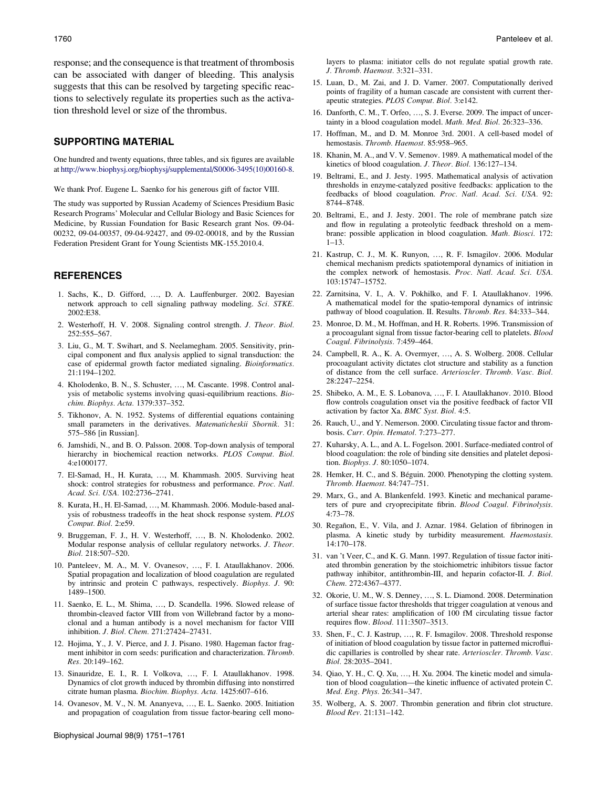<span id="page-9-0"></span>response; and the consequence is that treatment of thrombosis can be associated with danger of bleeding. This analysis suggests that this can be resolved by targeting specific reactions to selectively regulate its properties such as the activation threshold level or size of the thrombus.

## SUPPORTING MATERIAL

One hundred and twenty equations, three tables, and six figures are available at [http://www.biophysj.org/biophysj/supplemental/S0006-3495\(10\)00160-8.](http://www.biophysj.org/biophysj/supplemental/S0006-3495(10)00160-8)

We thank Prof. Eugene L. Saenko for his generous gift of factor VIII.

The study was supported by Russian Academy of Sciences Presidium Basic Research Programs' Molecular and Cellular Biology and Basic Sciences for Medicine, by Russian Foundation for Basic Research grant Nos. 09-04- 00232, 09-04-00357, 09-04-92427, and 09-02-00018, and by the Russian Federation President Grant for Young Scientists MK-155.2010.4.

#### REFERENCES

- 1. Sachs, K., D. Gifford, ..., D. A. Lauffenburger. 2002. Bayesian network approach to cell signaling pathway modeling. Sci. STKE. 2002:E38.
- 2. Westerhoff, H. V. 2008. Signaling control strength. J. Theor. Biol. 252:555–567.
- 3. Liu, G., M. T. Swihart, and S. Neelamegham. 2005. Sensitivity, principal component and flux analysis applied to signal transduction: the case of epidermal growth factor mediated signaling. Bioinformatics. 21:1194–1202.
- 4. Kholodenko, B. N., S. Schuster, ..., M. Cascante. 1998. Control analysis of metabolic systems involving quasi-equilibrium reactions. Biochim. Biophys. Acta. 1379:337–352.
- 5. Tikhonov, A. N. 1952. Systems of differential equations containing small parameters in the derivatives. Matematicheskii Sbornik. 31: 575–586 [in Russian].
- 6. Jamshidi, N., and B. O. Palsson. 2008. Top-down analysis of temporal hierarchy in biochemical reaction networks. PLOS Comput. Biol. 4:e1000177.
- 7. El-Samad, H., H. Kurata, ..., M. Khammash. 2005. Surviving heat shock: control strategies for robustness and performance. *Proc. Natl.* Acad. Sci. USA. 102:2736–2741.
- 8. Kurata, H., H. El-Samad, ..., M. Khammash. 2006. Module-based analysis of robustness tradeoffs in the heat shock response system. PLOS Comput. Biol. 2:e59.
- 9. Bruggeman, F. J., H. V. Westerhoff, ..., B. N. Kholodenko. 2002. Modular response analysis of cellular regulatory networks. J. Theor. Biol. 218:507–520.
- 10. Panteleev, M. A., M. V. Ovanesov, ..., F. I. Ataullakhanov. 2006. Spatial propagation and localization of blood coagulation are regulated by intrinsic and protein C pathways, respectively. Biophys. J. 90: 1489–1500.
- 11. Saenko, E. L., M. Shima, ..., D. Scandella. 1996. Slowed release of thrombin-cleaved factor VIII from von Willebrand factor by a monoclonal and a human antibody is a novel mechanism for factor VIII inhibition. J. Biol. Chem. 271:27424–27431.
- 12. Hojima, Y., J. V. Pierce, and J. J. Pisano. 1980. Hageman factor fragment inhibitor in corn seeds: purification and characterization. Thromb. Res. 20:149–162.
- 13. Sinauridze, E. I., R. I. Volkova, ..., F. I. Ataullakhanov. 1998. Dynamics of clot growth induced by thrombin diffusing into nonstirred citrate human plasma. Biochim. Biophys. Acta. 1425:607–616.
- 14. Ovanesov, M. V., N. M. Ananyeva, ., E. L. Saenko. 2005. Initiation and propagation of coagulation from tissue factor-bearing cell mono-

Biophysical Journal 98(9) 1751–1761

layers to plasma: initiator cells do not regulate spatial growth rate. J. Thromb. Haemost. 3:321–331.

- 15. Luan, D., M. Zai, and J. D. Varner. 2007. Computationally derived points of fragility of a human cascade are consistent with current therapeutic strategies. PLOS Comput. Biol. 3:e142.
- 16. Danforth, C. M., T. Orfeo, ..., S. J. Everse. 2009. The impact of uncertainty in a blood coagulation model. Math. Med. Biol. 26:323–336.
- 17. Hoffman, M., and D. M. Monroe 3rd. 2001. A cell-based model of hemostasis. Thromb. Haemost. 85:958-965.
- 18. Khanin, M. A., and V. V. Semenov. 1989. A mathematical model of the kinetics of blood coagulation. J. Theor. Biol. 136:127–134.
- 19. Beltrami, E., and J. Jesty. 1995. Mathematical analysis of activation thresholds in enzyme-catalyzed positive feedbacks: application to the feedbacks of blood coagulation. Proc. Natl. Acad. Sci. USA. 92: 8744–8748.
- 20. Beltrami, E., and J. Jesty. 2001. The role of membrane patch size and flow in regulating a proteolytic feedback threshold on a membrane: possible application in blood coagulation. Math. Biosci. 172: 1–13.
- 21. Kastrup, C. J., M. K. Runyon, ..., R. F. Ismagilov. 2006. Modular chemical mechanism predicts spatiotemporal dynamics of initiation in the complex network of hemostasis. Proc. Natl. Acad. Sci. USA. 103:15747–15752.
- 22. Zarnitsina, V. I., A. V. Pokhilko, and F. I. Ataullakhanov. 1996. A mathematical model for the spatio-temporal dynamics of intrinsic pathway of blood coagulation. II. Results. Thromb. Res. 84:333–344.
- 23. Monroe, D. M., M. Hoffman, and H. R. Roberts. 1996. Transmission of a procoagulant signal from tissue factor-bearing cell to platelets. Blood Coagul. Fibrinolysis. 7:459–464.
- 24. Campbell, R. A., K. A. Overmyer, ..., A. S. Wolberg. 2008. Cellular procoagulant activity dictates clot structure and stability as a function of distance from the cell surface. Arterioscler. Thromb. Vasc. Biol. 28:2247–2254.
- 25. Shibeko, A. M., E. S. Lobanova, ..., F. I. Ataullakhanov. 2010. Blood flow controls coagulation onset via the positive feedback of factor VII activation by factor Xa. BMC Syst. Biol. 4:5.
- 26. Rauch, U., and Y. Nemerson. 2000. Circulating tissue factor and thrombosis. Curr. Opin. Hematol. 7:273–277.
- 27. Kuharsky, A. L., and A. L. Fogelson. 2001. Surface-mediated control of blood coagulation: the role of binding site densities and platelet deposition. Biophys. J. 80:1050–1074.
- 28. Hemker, H. C., and S. Béguin. 2000. Phenotyping the clotting system. Thromb. Haemost. 84:747–751.
- 29. Marx, G., and A. Blankenfeld. 1993. Kinetic and mechanical parameters of pure and cryoprecipitate fibrin. Blood Coagul. Fibrinolysis. 4:73–78.
- 30. Regañon, E., V. Vila, and J. Aznar. 1984. Gelation of fibrinogen in plasma. A kinetic study by turbidity measurement. Haemostasis. 14:170–178.
- 31. van 't Veer, C., and K. G. Mann. 1997. Regulation of tissue factor initiated thrombin generation by the stoichiometric inhibitors tissue factor pathway inhibitor, antithrombin-III, and heparin cofactor-II. J. Biol. Chem. 272:4367–4377.
- 32. Okorie, U. M., W. S. Denney, ..., S. L. Diamond. 2008. Determination of surface tissue factor thresholds that trigger coagulation at venous and arterial shear rates: amplification of 100 fM circulating tissue factor requires flow. Blood. 111:3507–3513.
- 33. Shen, F., C. J. Kastrup, ..., R. F. Ismagilov. 2008. Threshold response of initiation of blood coagulation by tissue factor in patterned microfluidic capillaries is controlled by shear rate. Arterioscler. Thromb. Vasc. Biol. 28:2035–2041.
- 34. Qiao, Y. H., C. Q. Xu, ., H. Xu. 2004. The kinetic model and simulation of blood coagulation—the kinetic influence of activated protein C. Med. Eng. Phys. 26:341–347.
- 35. Wolberg, A. S. 2007. Thrombin generation and fibrin clot structure. Blood Rev. 21:131–142.